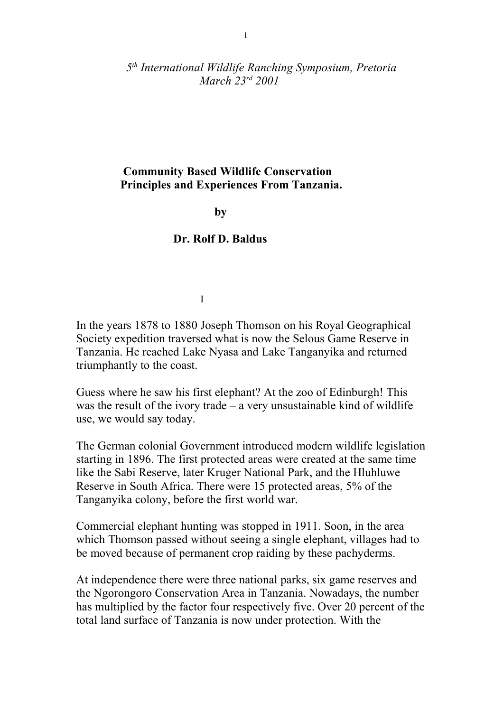*5 th International Wildlife Ranching Symposium, Pretoria March 23rd 2001* 

## **Community Based Wildlife Conservation Principles and Experiences From Tanzania.**

**by** 

## **Dr. Rolf D. Baldus**

I

In the years 1878 to 1880 Joseph Thomson on his Royal Geographical Society expedition traversed what is now the Selous Game Reserve in Tanzania. He reached Lake Nyasa and Lake Tanganyika and returned triumphantly to the coast.

Guess where he saw his first elephant? At the zoo of Edinburgh! This was the result of the ivory trade – a very unsustainable kind of wildlife use, we would say today.

The German colonial Government introduced modern wildlife legislation starting in 1896. The first protected areas were created at the same time like the Sabi Reserve, later Kruger National Park, and the Hluhluwe Reserve in South Africa. There were 15 protected areas, 5% of the Tanganyika colony, before the first world war.

Commercial elephant hunting was stopped in 1911. Soon, in the area which Thomson passed without seeing a single elephant, villages had to be moved because of permanent crop raiding by these pachyderms.

At independence there were three national parks, six game reserves and the Ngorongoro Conservation Area in Tanzania. Nowadays, the number has multiplied by the factor four respectively five. Over 20 percent of the total land surface of Tanzania is now under protection. With the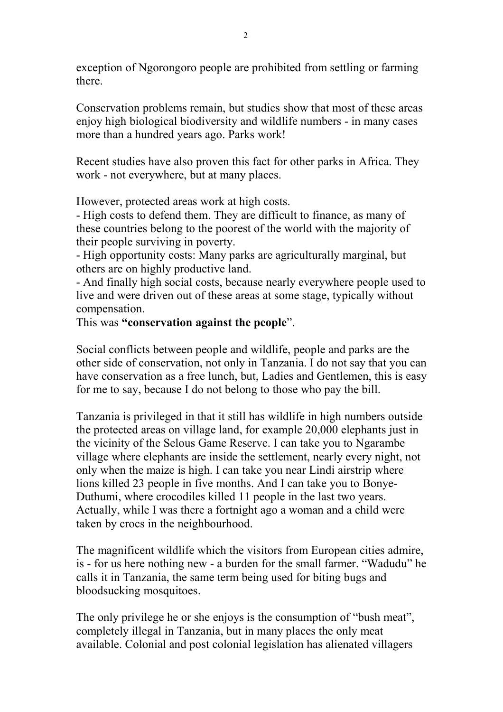exception of Ngorongoro people are prohibited from settling or farming there.

Conservation problems remain, but studies show that most of these areas enjoy high biological biodiversity and wildlife numbers - in many cases more than a hundred years ago. Parks work!

Recent studies have also proven this fact for other parks in Africa. They work - not everywhere, but at many places.

However, protected areas work at high costs.

- High costs to defend them. They are difficult to finance, as many of these countries belong to the poorest of the world with the majority of their people surviving in poverty.

- High opportunity costs: Many parks are agriculturally marginal, but others are on highly productive land.

- And finally high social costs, because nearly everywhere people used to live and were driven out of these areas at some stage, typically without compensation.

This was **"conservation against the people**".

Social conflicts between people and wildlife, people and parks are the other side of conservation, not only in Tanzania. I do not say that you can have conservation as a free lunch, but, Ladies and Gentlemen, this is easy for me to say, because I do not belong to those who pay the bill.

Tanzania is privileged in that it still has wildlife in high numbers outside the protected areas on village land, for example 20,000 elephants just in the vicinity of the Selous Game Reserve. I can take you to Ngarambe village where elephants are inside the settlement, nearly every night, not only when the maize is high. I can take you near Lindi airstrip where lions killed 23 people in five months. And I can take you to Bonye-Duthumi, where crocodiles killed 11 people in the last two years. Actually, while I was there a fortnight ago a woman and a child were taken by crocs in the neighbourhood.

The magnificent wildlife which the visitors from European cities admire, is - for us here nothing new - a burden for the small farmer. "Wadudu" he calls it in Tanzania, the same term being used for biting bugs and bloodsucking mosquitoes.

The only privilege he or she enjoys is the consumption of "bush meat", completely illegal in Tanzania, but in many places the only meat available. Colonial and post colonial legislation has alienated villagers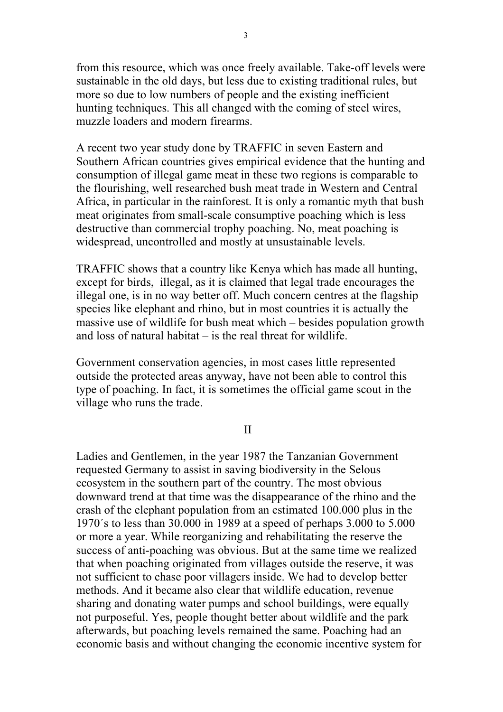from this resource, which was once freely available. Take-off levels were sustainable in the old days, but less due to existing traditional rules, but more so due to low numbers of people and the existing inefficient hunting techniques. This all changed with the coming of steel wires, muzzle loaders and modern firearms.

A recent two year study done by TRAFFIC in seven Eastern and Southern African countries gives empirical evidence that the hunting and consumption of illegal game meat in these two regions is comparable to the flourishing, well researched bush meat trade in Western and Central Africa, in particular in the rainforest. It is only a romantic myth that bush meat originates from small-scale consumptive poaching which is less destructive than commercial trophy poaching. No, meat poaching is widespread, uncontrolled and mostly at unsustainable levels.

TRAFFIC shows that a country like Kenya which has made all hunting, except for birds, illegal, as it is claimed that legal trade encourages the illegal one, is in no way better off. Much concern centres at the flagship species like elephant and rhino, but in most countries it is actually the massive use of wildlife for bush meat which – besides population growth and loss of natural habitat – is the real threat for wildlife.

Government conservation agencies, in most cases little represented outside the protected areas anyway, have not been able to control this type of poaching. In fact, it is sometimes the official game scout in the village who runs the trade.

II

Ladies and Gentlemen, in the year 1987 the Tanzanian Government requested Germany to assist in saving biodiversity in the Selous ecosystem in the southern part of the country. The most obvious downward trend at that time was the disappearance of the rhino and the crash of the elephant population from an estimated 100.000 plus in the 1970´s to less than 30.000 in 1989 at a speed of perhaps 3.000 to 5.000 or more a year. While reorganizing and rehabilitating the reserve the success of anti-poaching was obvious. But at the same time we realized that when poaching originated from villages outside the reserve, it was not sufficient to chase poor villagers inside. We had to develop better methods. And it became also clear that wildlife education, revenue sharing and donating water pumps and school buildings, were equally not purposeful. Yes, people thought better about wildlife and the park afterwards, but poaching levels remained the same. Poaching had an economic basis and without changing the economic incentive system for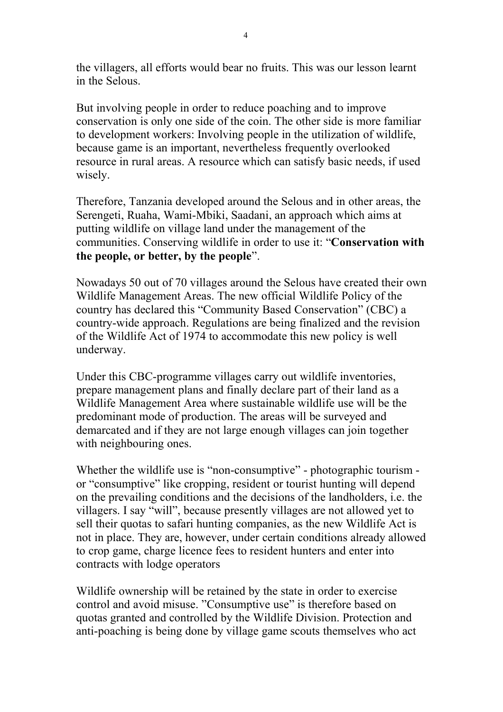the villagers, all efforts would bear no fruits. This was our lesson learnt in the Selous.

But involving people in order to reduce poaching and to improve conservation is only one side of the coin. The other side is more familiar to development workers: Involving people in the utilization of wildlife, because game is an important, nevertheless frequently overlooked resource in rural areas. A resource which can satisfy basic needs, if used wisely.

Therefore, Tanzania developed around the Selous and in other areas, the Serengeti, Ruaha, Wami-Mbiki, Saadani, an approach which aims at putting wildlife on village land under the management of the communities. Conserving wildlife in order to use it: "**Conservation with the people, or better, by the people**".

Nowadays 50 out of 70 villages around the Selous have created their own Wildlife Management Areas. The new official Wildlife Policy of the country has declared this "Community Based Conservation" (CBC) a country-wide approach. Regulations are being finalized and the revision of the Wildlife Act of 1974 to accommodate this new policy is well underway.

Under this CBC-programme villages carry out wildlife inventories, prepare management plans and finally declare part of their land as a Wildlife Management Area where sustainable wildlife use will be the predominant mode of production. The areas will be surveyed and demarcated and if they are not large enough villages can join together with neighbouring ones.

Whether the wildlife use is "non-consumptive" - photographic tourism or "consumptive" like cropping, resident or tourist hunting will depend on the prevailing conditions and the decisions of the landholders, i.e. the villagers. I say "will", because presently villages are not allowed yet to sell their quotas to safari hunting companies, as the new Wildlife Act is not in place. They are, however, under certain conditions already allowed to crop game, charge licence fees to resident hunters and enter into contracts with lodge operators

Wildlife ownership will be retained by the state in order to exercise control and avoid misuse. "Consumptive use" is therefore based on quotas granted and controlled by the Wildlife Division. Protection and anti-poaching is being done by village game scouts themselves who act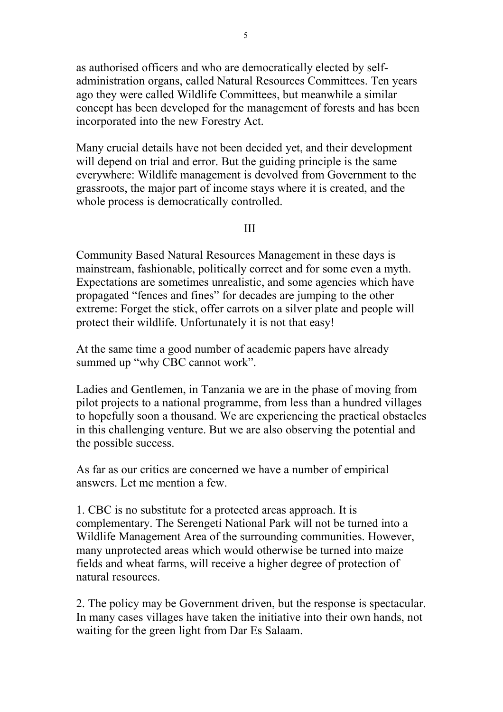as authorised officers and who are democratically elected by selfadministration organs, called Natural Resources Committees. Ten years ago they were called Wildlife Committees, but meanwhile a similar concept has been developed for the management of forests and has been incorporated into the new Forestry Act.

Many crucial details have not been decided yet, and their development will depend on trial and error. But the guiding principle is the same everywhere: Wildlife management is devolved from Government to the grassroots, the major part of income stays where it is created, and the whole process is democratically controlled.

III

Community Based Natural Resources Management in these days is mainstream, fashionable, politically correct and for some even a myth. Expectations are sometimes unrealistic, and some agencies which have propagated "fences and fines" for decades are jumping to the other extreme: Forget the stick, offer carrots on a silver plate and people will protect their wildlife. Unfortunately it is not that easy!

At the same time a good number of academic papers have already summed up "why CBC cannot work".

Ladies and Gentlemen, in Tanzania we are in the phase of moving from pilot projects to a national programme, from less than a hundred villages to hopefully soon a thousand. We are experiencing the practical obstacles in this challenging venture. But we are also observing the potential and the possible success.

As far as our critics are concerned we have a number of empirical answers. Let me mention a few.

1. CBC is no substitute for a protected areas approach. It is complementary. The Serengeti National Park will not be turned into a Wildlife Management Area of the surrounding communities. However, many unprotected areas which would otherwise be turned into maize fields and wheat farms, will receive a higher degree of protection of natural resources.

2. The policy may be Government driven, but the response is spectacular. In many cases villages have taken the initiative into their own hands, not waiting for the green light from Dar Es Salaam.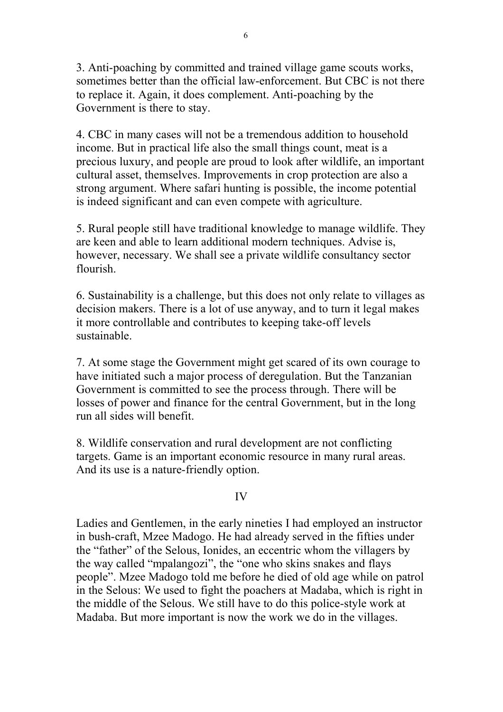3. Anti-poaching by committed and trained village game scouts works, sometimes better than the official law-enforcement. But CBC is not there to replace it. Again, it does complement. Anti-poaching by the Government is there to stay.

4. CBC in many cases will not be a tremendous addition to household income. But in practical life also the small things count, meat is a precious luxury, and people are proud to look after wildlife, an important cultural asset, themselves. Improvements in crop protection are also a strong argument. Where safari hunting is possible, the income potential is indeed significant and can even compete with agriculture.

5. Rural people still have traditional knowledge to manage wildlife. They are keen and able to learn additional modern techniques. Advise is, however, necessary. We shall see a private wildlife consultancy sector flourish.

6. Sustainability is a challenge, but this does not only relate to villages as decision makers. There is a lot of use anyway, and to turn it legal makes it more controllable and contributes to keeping take-off levels sustainable.

7. At some stage the Government might get scared of its own courage to have initiated such a major process of deregulation. But the Tanzanian Government is committed to see the process through. There will be losses of power and finance for the central Government, but in the long run all sides will benefit.

8. Wildlife conservation and rural development are not conflicting targets. Game is an important economic resource in many rural areas. And its use is a nature-friendly option.

## IV

Ladies and Gentlemen, in the early nineties I had employed an instructor in bush-craft, Mzee Madogo. He had already served in the fifties under the "father" of the Selous, Ionides, an eccentric whom the villagers by the way called "mpalangozi", the "one who skins snakes and flays people". Mzee Madogo told me before he died of old age while on patrol in the Selous: We used to fight the poachers at Madaba, which is right in the middle of the Selous. We still have to do this police-style work at Madaba. But more important is now the work we do in the villages.